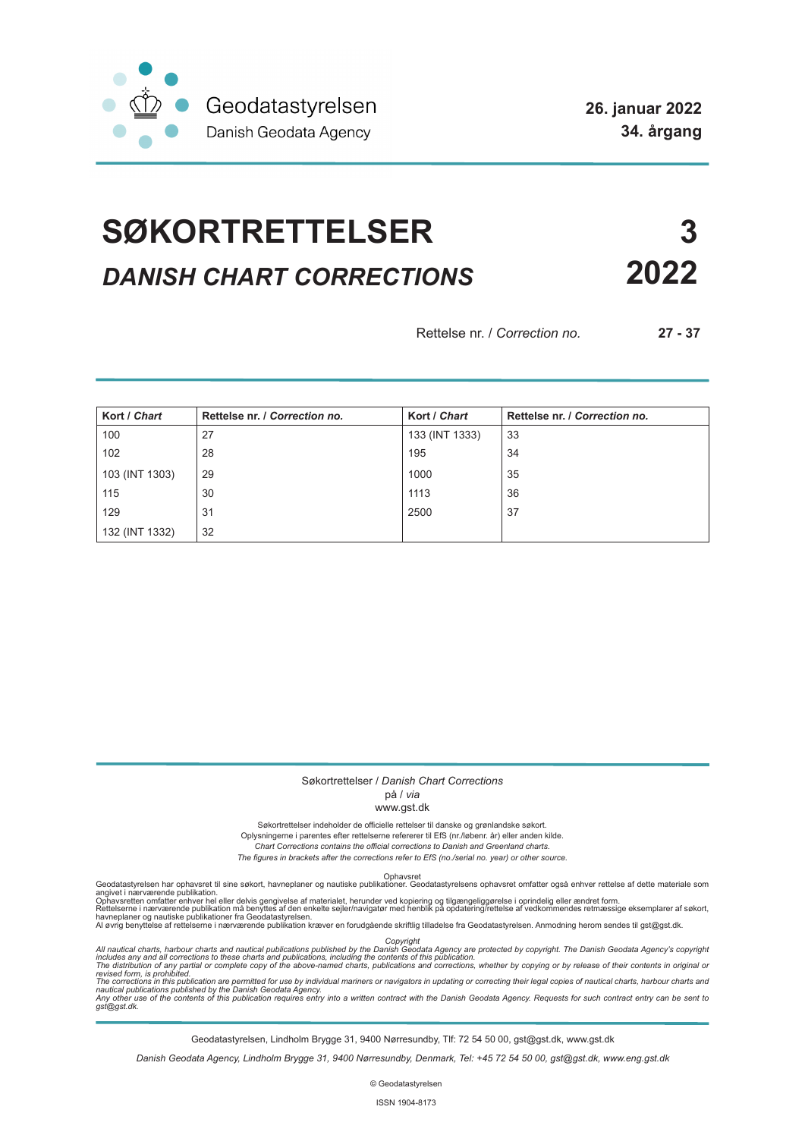

# **SØKORTRETTELSER 3** *DANISH CHART CORRECTIONS* **2022**

Rettelse nr. / *Correction no.* **27 - 37**

| Kort / Chart   | Rettelse nr. / Correction no. | Kort / Chart   | Rettelse nr. / Correction no. |
|----------------|-------------------------------|----------------|-------------------------------|
| 100            | 27                            | 133 (INT 1333) | 33                            |
| 102            | 28                            | 195            | 34                            |
| 103 (INT 1303) | 29                            | 1000           | 35                            |
| 115            | 30                            | 1113           | 36                            |
| 129            | 31                            | 2500           | 37                            |
| 132 (INT 1332) | 32                            |                |                               |

#### Søkortrettelser / *Danish Chart Corrections*

#### på / *via*

#### www.gst.dk

Søkortrettelser indeholder de officielle rettelser til danske og grønlandske søkort.

Oplysningerne i parentes efter rettelserne refererer til EfS (nr./løbenr. år) eller anden kilde.

*Chart Corrections contains the official corrections to Danish and Greenland charts. The figures in brackets after the corrections refer to EfS (no./serial no. year) or other source.*

Ophavsret Geodatastyrelsen har ophavsret til sine søkort, havneplaner og nautiske publikationer. Geodatastyrelsens ophavsret omfatter også enhver rettelse af dette materiale som

angivet i nærværende publikation.<br>Ophavsretten omfatter enhver hel eller delvis gengivelse af materialet, herunder ved kopiering og tilgængeliggørelse i oprindelig eller ændret form.<br>Rettelserne i nærværende publikation må

Copyright<br>includes any and all corrections to these charts and publications published by the Danish Agency are protected by copyright. The Danish Geodata Agency's copyright<br>includes any and all corrections to these charts

Geodatastyrelsen, Lindholm Brygge 31, 9400 Nørresundby, Tlf: 72 54 50 00, gst@gst.dk, www.gst.dk

*Danish Geodata Agency, Lindholm Brygge 31, 9400 Nørresundby, Denmark, Tel: +45 72 54 50 00, gst@gst.dk, www.eng.gst.dk*

© Geodatastyrelsen

ISSN 1904-8173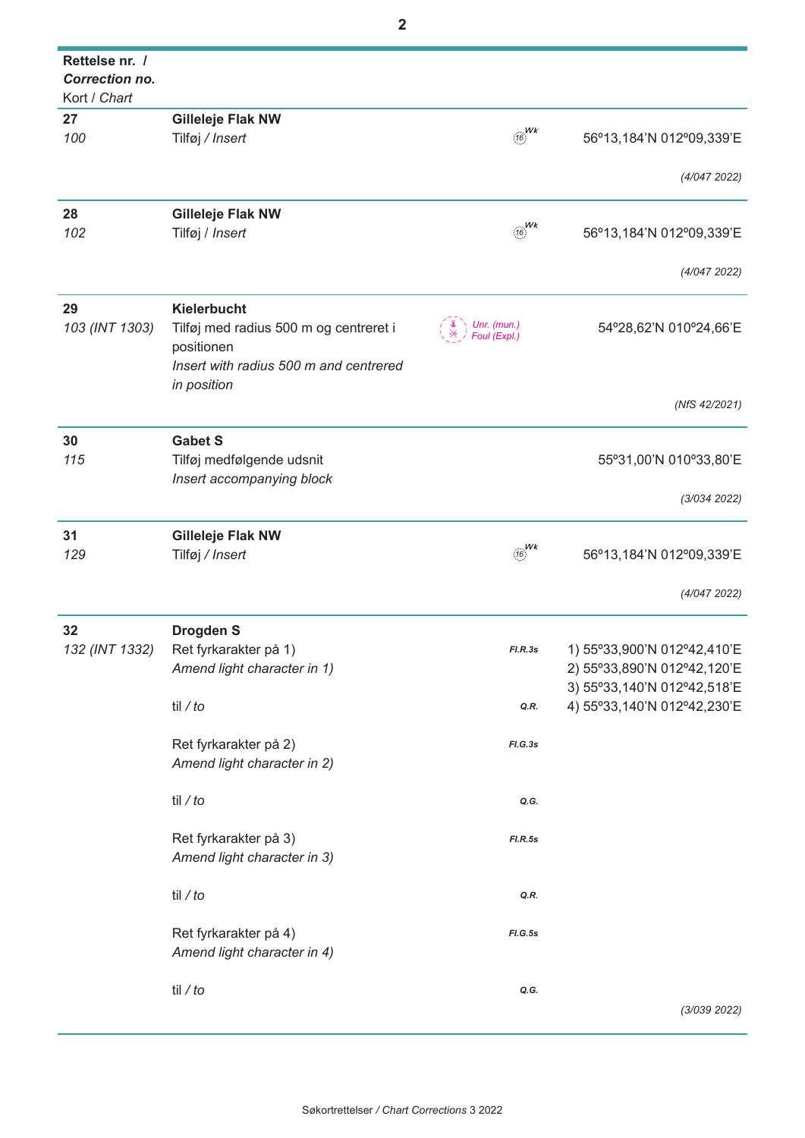| Rettelse nr. /<br><b>Correction no.</b><br>Kort / Chart |                                        |                             |                             |
|---------------------------------------------------------|----------------------------------------|-----------------------------|-----------------------------|
|                                                         |                                        |                             |                             |
| 27<br>100                                               | <b>Gilleleje Flak NW</b>               | Wk                          |                             |
|                                                         | Tilføj / Insert                        |                             | 56°13,184'N 012°09,339'E    |
|                                                         |                                        |                             | (4/0472022)                 |
| 28                                                      | <b>Gilleleje Flak NW</b>               |                             |                             |
| 102                                                     | Tilføj / Insert                        | $\frac{1}{16}$              | 56°13,184'N 012°09,339'E    |
|                                                         |                                        |                             |                             |
|                                                         |                                        |                             | (4/0472022)                 |
| 29                                                      | Kielerbucht                            |                             |                             |
| 103 (INT 1303)                                          | Tilføj med radius 500 m og centreret i | Unr. (mun.)<br>Foul (Expl.) | 54°28,62'N 010°24,66'E      |
|                                                         | positionen                             |                             |                             |
|                                                         | Insert with radius 500 m and centrered |                             |                             |
|                                                         | in position                            |                             |                             |
|                                                         |                                        |                             | (NfS 42/2021)               |
| 30                                                      | <b>Gabet S</b>                         |                             |                             |
| 115                                                     | Tilføj medfølgende udsnit              |                             | 55°31,00'N 010°33,80'E      |
|                                                         | Insert accompanying block              |                             |                             |
|                                                         |                                        |                             | (3/034 2022)                |
| 31                                                      | Gilleleje Flak NW                      |                             |                             |
| 129                                                     | Tilføj / Insert                        | $\frac{Wk}{16}$             | 56°13,184'N 012°09,339'E    |
|                                                         |                                        |                             |                             |
|                                                         |                                        |                             | (4/0472022)                 |
| 32                                                      | <b>Drogden S</b>                       |                             |                             |
| 132 (INT 1332)                                          | Ret fyrkarakter på 1)                  | FLR.3s                      | 1) 55°33,900'N 012°42,410'E |
|                                                         | Amend light character in 1)            |                             | 2) 55°33,890'N 012°42,120'E |
|                                                         |                                        |                             | 3) 55°33,140'N 012°42,518'E |
|                                                         | til $/$ to                             | Q.R.                        | 4) 55°33,140'N 012°42,230'E |
|                                                         | Ret fyrkarakter på 2)                  | FI.G.3s                     |                             |
|                                                         | Amend light character in 2)            |                             |                             |
|                                                         |                                        |                             |                             |
|                                                         | til / $to$                             | Q.G.                        |                             |
|                                                         |                                        |                             |                             |
|                                                         | Ret fyrkarakter på 3)                  | FI.R.5s                     |                             |
|                                                         | Amend light character in 3)            |                             |                             |
|                                                         | til / $to$                             | Q.R.                        |                             |
|                                                         |                                        |                             |                             |
|                                                         | Ret fyrkarakter på 4)                  | FI.G.5s                     |                             |
|                                                         | Amend light character in 4)            |                             |                             |
|                                                         | til / $to$                             | Q.G.                        |                             |
|                                                         |                                        |                             | (3/039 2022)                |
|                                                         |                                        |                             |                             |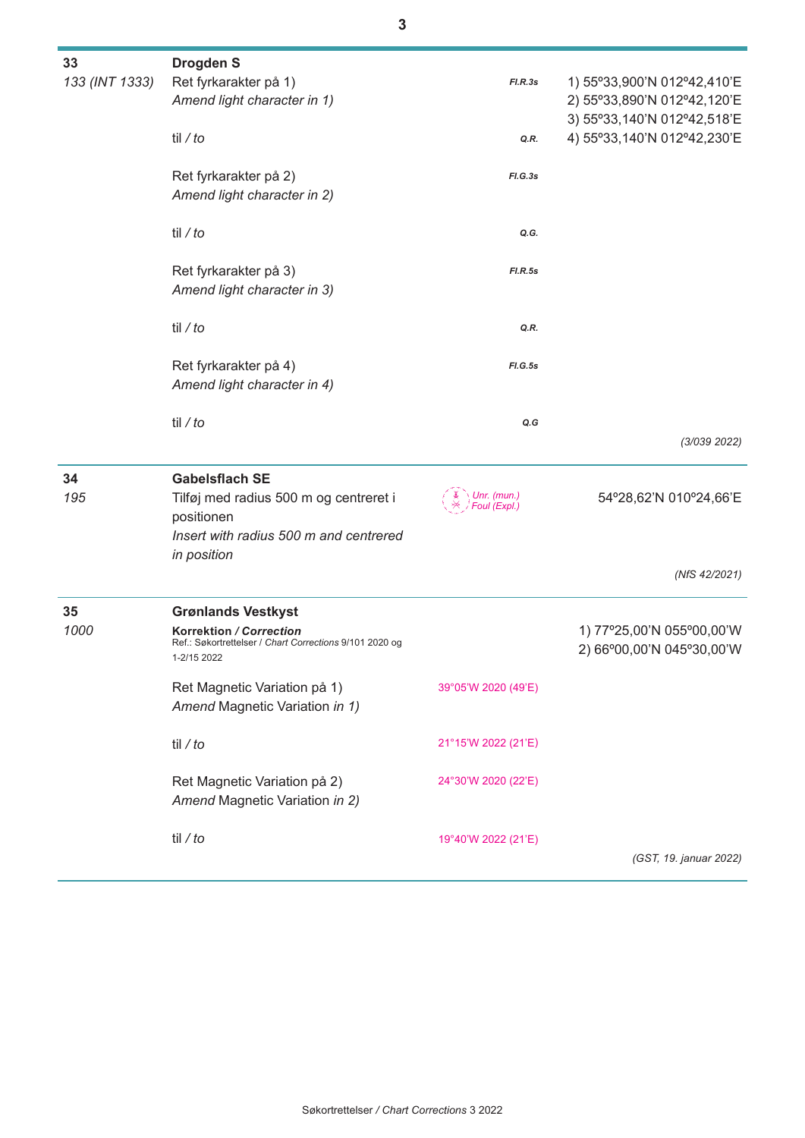| 33             | <b>Drogden S</b>                                        |                     |                             |
|----------------|---------------------------------------------------------|---------------------|-----------------------------|
| 133 (INT 1333) | Ret fyrkarakter på 1)                                   | FLR.3s              | 1) 55°33,900'N 012°42,410'E |
|                | Amend light character in 1)                             |                     | 2) 55°33,890'N 012°42,120'E |
|                |                                                         |                     | 3) 55°33,140'N 012°42,518'E |
|                | til $/$ to                                              | Q.R.                | 4) 55°33,140'N 012°42,230'E |
|                |                                                         |                     |                             |
|                | Ret fyrkarakter på 2)                                   | FI.G.3s             |                             |
|                | Amend light character in 2)                             |                     |                             |
|                |                                                         |                     |                             |
|                | til $/$ to                                              | Q.G.                |                             |
|                |                                                         |                     |                             |
|                | Ret fyrkarakter på 3)                                   | FI.R.5s             |                             |
|                | Amend light character in 3)                             |                     |                             |
|                |                                                         |                     |                             |
|                | til $/$ to                                              | Q.R.                |                             |
|                |                                                         |                     |                             |
|                | Ret fyrkarakter på 4)                                   | FI.G.5s             |                             |
|                | Amend light character in 4)                             |                     |                             |
|                |                                                         |                     |                             |
|                | til $/$ to                                              | Q.G                 |                             |
|                |                                                         |                     | (3/039 2022)                |
| 34             | <b>Gabelsflach SE</b>                                   |                     |                             |
| 195            | Tilføj med radius 500 m og centreret i                  | Unr. (mun.)         | 54°28,62'N 010°24,66'E      |
|                | positionen                                              | Foul (Expl.)        |                             |
|                | Insert with radius 500 m and centrered                  |                     |                             |
|                | in position                                             |                     |                             |
|                |                                                         |                     | (NfS 42/2021)               |
|                |                                                         |                     |                             |
| 35             | <b>Grønlands Vestkyst</b>                               |                     |                             |
| 1000           | Korrektion / Correction                                 |                     | 1) 77°25,00'N 055°00,00'W   |
|                | Ref.: Søkortrettelser / Chart Corrections 9/101 2020 og |                     | 2) 66°00,00'N 045°30,00'W   |
|                | 1-2/15 2022                                             |                     |                             |
|                | Ret Magnetic Variation på 1)                            | 39°05'W 2020 (49'E) |                             |
|                | Amend Magnetic Variation in 1)                          |                     |                             |
|                |                                                         |                     |                             |
|                | til / to                                                | 21°15'W 2022 (21'E) |                             |
|                |                                                         |                     |                             |
|                | Ret Magnetic Variation på 2)                            | 24°30'W 2020 (22'E) |                             |
|                | Amend Magnetic Variation in 2)                          |                     |                             |
|                |                                                         |                     |                             |
|                | til / $to$                                              | 19°40'W 2022 (21'E) |                             |
|                |                                                         |                     | (GST, 19. januar 2022)      |
|                |                                                         |                     |                             |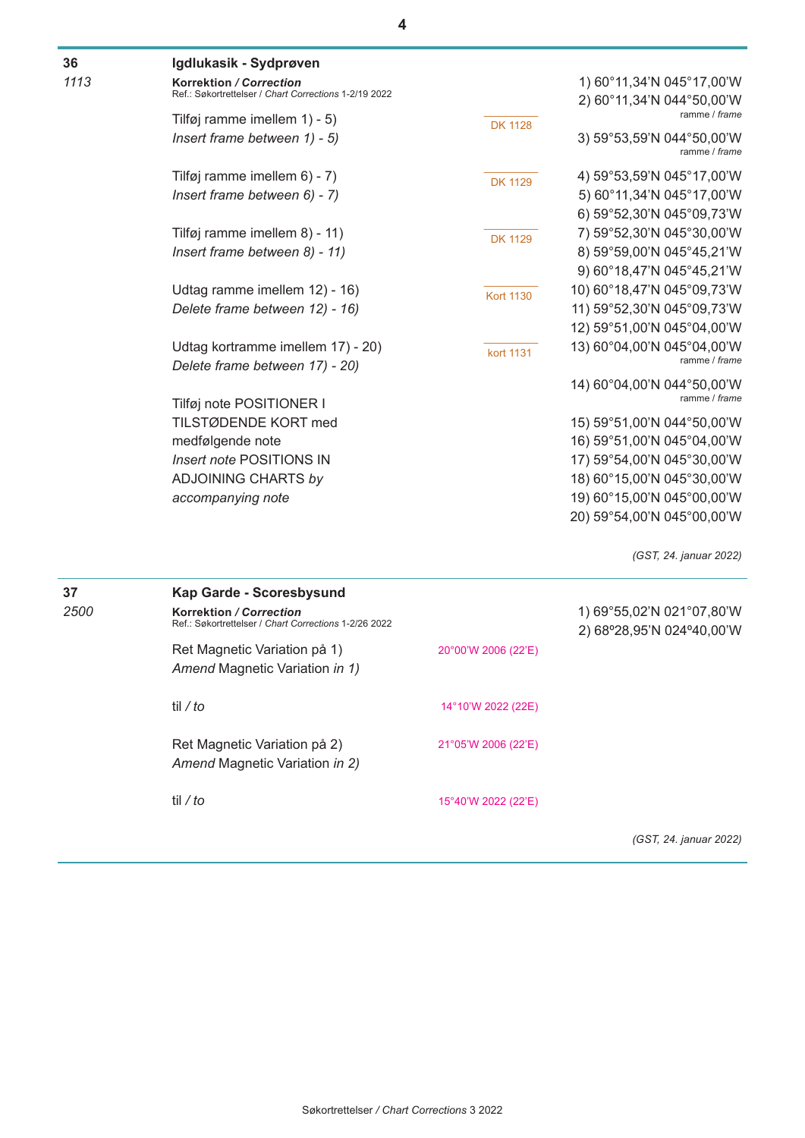| 36   | Igdlukasik - Sydprøven                                                           |                     |                                                        |
|------|----------------------------------------------------------------------------------|---------------------|--------------------------------------------------------|
| 1113 | Korrektion / Correction                                                          |                     | 1) 60°11,34'N 045°17,00'W                              |
|      | Ref.: Søkortrettelser / Chart Corrections 1-2/19 2022                            |                     | 2) 60°11,34'N 044°50,00'W                              |
|      | Tilføj ramme imellem 1) - 5)                                                     | <b>DK 1128</b>      | ramme / frame                                          |
|      | Insert frame between 1) - 5)                                                     |                     | 3) 59°53,59'N 044°50,00'W<br>ramme / frame             |
|      | Tilføj ramme imellem 6) - 7)                                                     | <b>DK 1129</b>      | 4) 59°53,59'N 045°17,00'W                              |
|      | Insert frame between 6) - 7)                                                     |                     | 5) 60°11,34'N 045°17,00'W                              |
|      |                                                                                  |                     | 6) 59°52,30'N 045°09,73'W                              |
|      | Tilføj ramme imellem 8) - 11)                                                    | <b>DK 1129</b>      | 7) 59°52,30'N 045°30,00'W                              |
|      | Insert frame between 8) - 11)                                                    |                     | 8) 59°59,00'N 045°45,21'W                              |
|      |                                                                                  |                     | 9) 60°18,47'N 045°45,21'W                              |
|      | Udtag ramme imellem 12) - 16)                                                    | <b>Kort 1130</b>    | 10) 60°18,47'N 045°09,73'W                             |
|      | Delete frame between 12) - 16)                                                   |                     | 11) 59°52,30'N 045°09,73'W                             |
|      |                                                                                  |                     | 12) 59°51,00'N 045°04,00'W                             |
|      | Udtag kortramme imellem 17) - 20)<br>Delete frame between 17) - 20)              | kort 1131           | 13) 60°04,00'N 045°04,00'W<br>ramme / frame            |
|      | Tilføj note POSITIONER I                                                         |                     | 14) 60°04,00'N 044°50,00'W<br>ramme / frame            |
|      | TILSTØDENDE KORT med                                                             |                     | 15) 59°51,00'N 044°50,00'W                             |
|      | medfølgende note                                                                 |                     | 16) 59°51,00'N 045°04,00'W                             |
|      | Insert note POSITIONS IN                                                         |                     | 17) 59°54,00'N 045°30,00'W                             |
|      | <b>ADJOINING CHARTS by</b>                                                       |                     | 18) 60°15,00'N 045°30,00'W                             |
|      | accompanying note                                                                |                     | 19) 60°15,00'N 045°00,00'W                             |
|      |                                                                                  |                     | 20) 59°54,00'N 045°00,00'W                             |
|      |                                                                                  |                     | (GST, 24. januar 2022)                                 |
| 37   | Kap Garde - Scoresbysund                                                         |                     |                                                        |
| 2500 | Korrektion / Correction<br>Ref.: Søkortrettelser / Chart Corrections 1-2/26 2022 |                     | 1) 69°55,02'N 021°07,80'W<br>2) 68°28,95'N 024°40,00'W |
|      | Ret Magnetic Variation på 1)<br>Amend Magnetic Variation in 1)                   | 20°00'W 2006 (22'E) |                                                        |
|      | til / $to$                                                                       | 14°10'W 2022 (22E)  |                                                        |
|      | Ret Magnetic Variation på 2)<br>Amend Magnetic Variation in 2)                   | 21°05'W 2006 (22'E) |                                                        |

15°40'W 2022 (22'E)

*(GST, 24. januar 2022)*

til */ to*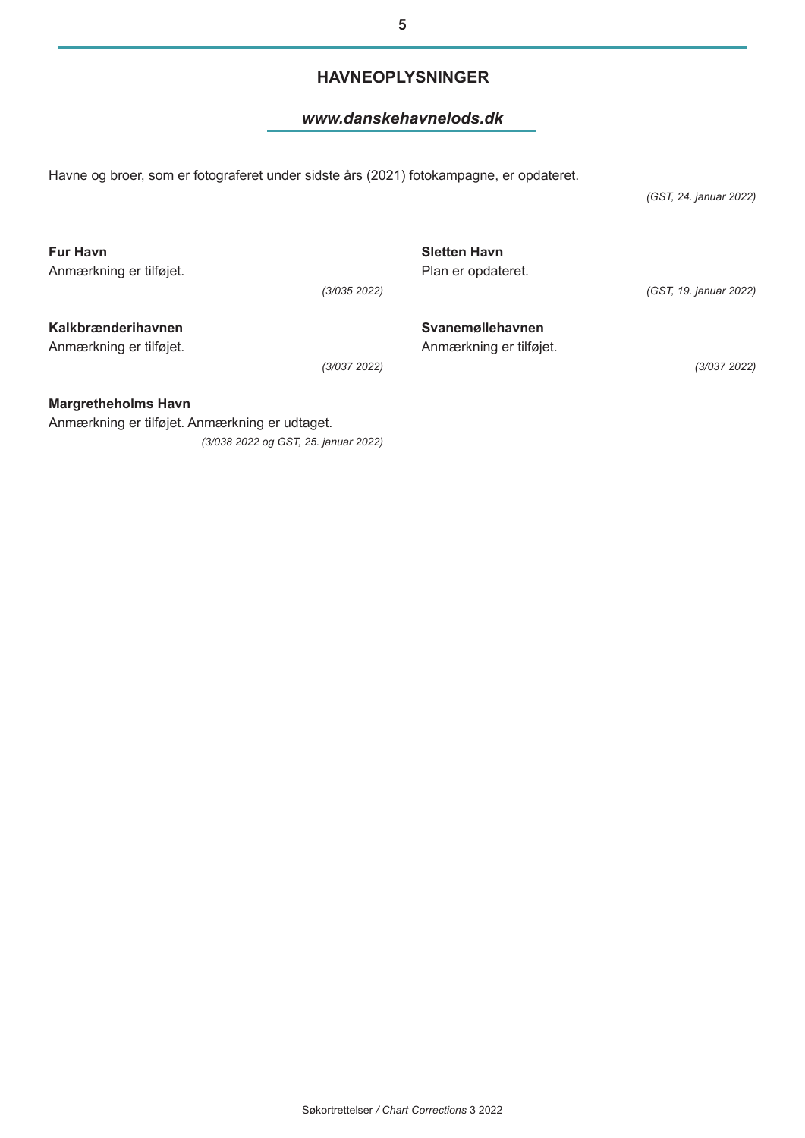Søkortrettelser */ Chart Corrections* 3 2022

# **HAVNEOPLYSNINGER**

### *www.danskehavnelods.dk*

Havne og broer, som er fotograferet under sidste års (2021) fotokampagne, er opdateret.

*(GST, 24. januar 2022)*

| <b>Fur Havn</b><br>Anmærkning er tilføjet.    | (3/035 2022) | <b>Sletten Havn</b><br>Plan er opdateret.   | (GST, 19. januar 2022) |
|-----------------------------------------------|--------------|---------------------------------------------|------------------------|
| Kalkbrænderihavnen<br>Anmærkning er tilføjet. | (3/037 2022) | Svanemøllehavnen<br>Anmærkning er tilføjet. | (3/037 2022)           |

**Margretheholms Havn** Anmærkning er tilføjet. Anmærkning er udtaget. *(3/038 2022 og GST, 25. januar 2022)*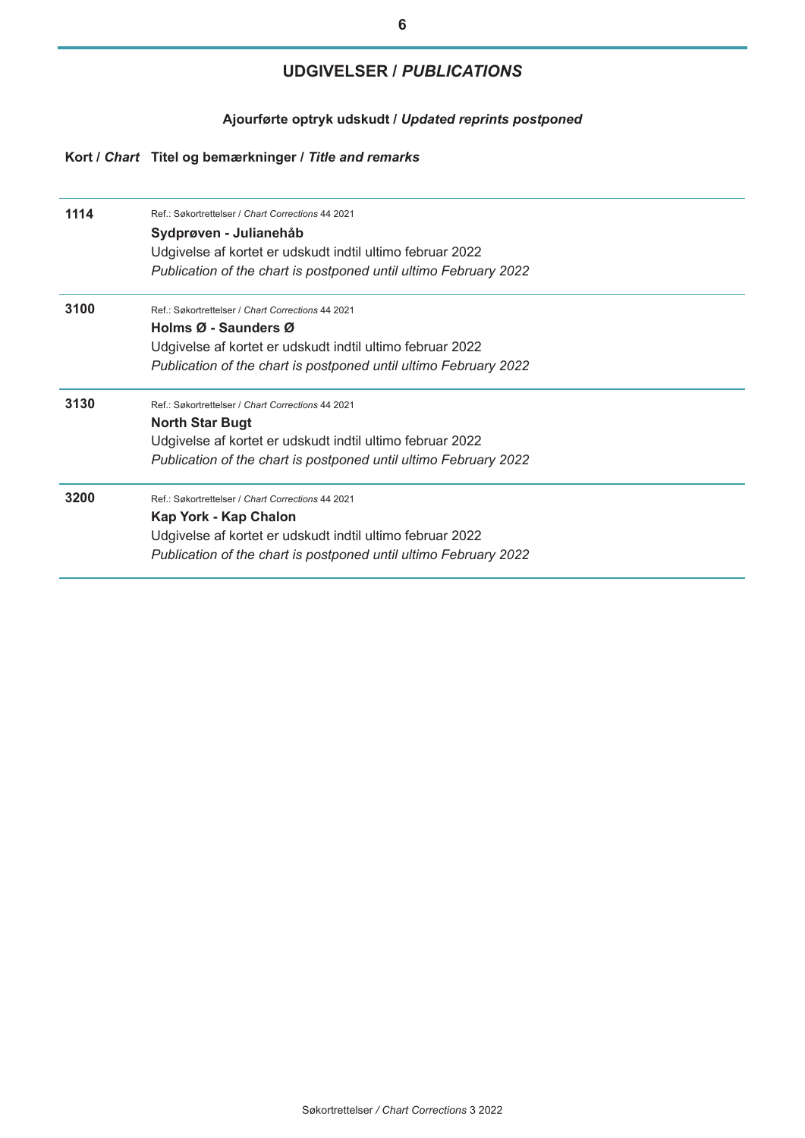# **UDGIVELSER /** *PUBLICATIONS*

### **Ajourførte optryk udskudt /** *Updated reprints postponed*

## **Kort /** *Chart* **Titel og bemærkninger /** *Title and remarks*

| 1114 | Ref.: Søkortrettelser / Chart Corrections 44 2021<br>Sydprøven - Julianehåb<br>Udgivelse af kortet er udskudt indtil ultimo februar 2022<br>Publication of the chart is postponed until ultimo February 2022 |
|------|--------------------------------------------------------------------------------------------------------------------------------------------------------------------------------------------------------------|
| 3100 | Ref.: Søkortrettelser / Chart Corrections 44 2021<br>Holms Ø - Saunders Ø<br>Udgivelse af kortet er udskudt indtil ultimo februar 2022<br>Publication of the chart is postponed until ultimo February 2022   |
| 3130 | Ref.: Søkortrettelser / Chart Corrections 44 2021<br><b>North Star Bugt</b><br>Udgivelse af kortet er udskudt indtil ultimo februar 2022<br>Publication of the chart is postponed until ultimo February 2022 |
| 3200 | Ref.: Søkortrettelser / Chart Corrections 44 2021<br>Kap York - Kap Chalon<br>Udgivelse af kortet er udskudt indtil ultimo februar 2022<br>Publication of the chart is postponed until ultimo February 2022  |